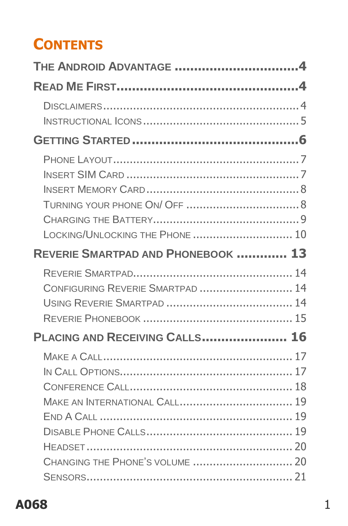## **CONTENTS**

| THE ANDROID ADVANTAGE 4            |  |
|------------------------------------|--|
|                                    |  |
|                                    |  |
|                                    |  |
|                                    |  |
|                                    |  |
|                                    |  |
| LOCKING/UNLOCKING THE PHONE  10    |  |
| REVERIE SMARTPAD AND PHONEBOOK  13 |  |
| CONFIGURING REVERIE SMARTPAD  14   |  |
| PLACING AND RECEIVING CALLS 16     |  |
|                                    |  |
|                                    |  |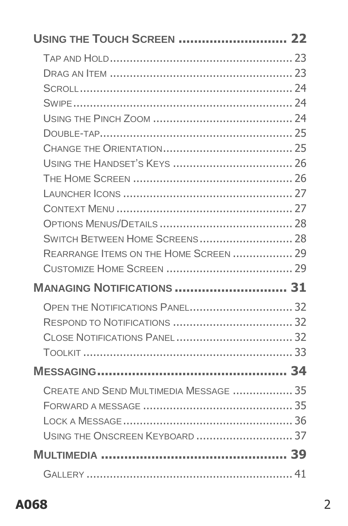| USING THE TOUCH SCREEN  22             |  |
|----------------------------------------|--|
|                                        |  |
|                                        |  |
|                                        |  |
|                                        |  |
|                                        |  |
|                                        |  |
|                                        |  |
|                                        |  |
|                                        |  |
|                                        |  |
|                                        |  |
|                                        |  |
|                                        |  |
| REARRANGE ITEMS ON THE HOME SCREEN  29 |  |
|                                        |  |
|                                        |  |
| <b>MANAGING NOTIFICATIONS  31</b>      |  |
|                                        |  |
|                                        |  |
|                                        |  |
|                                        |  |
|                                        |  |
| CREATE AND SEND MULTIMEDIA MESSAGE  35 |  |
|                                        |  |
|                                        |  |
|                                        |  |
|                                        |  |

#### A068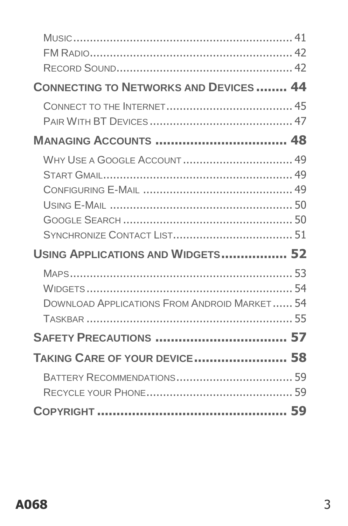| <b>CONNECTING TO NETWORKS AND DEVICES 44</b>        |  |
|-----------------------------------------------------|--|
|                                                     |  |
| <b>MANAGING ACCOUNTS  48</b>                        |  |
| <b>WHY USE A GOOGLE ACCOUNT  49</b>                 |  |
|                                                     |  |
|                                                     |  |
|                                                     |  |
|                                                     |  |
|                                                     |  |
| USING APPLICATIONS AND WIDGETS 52                   |  |
|                                                     |  |
|                                                     |  |
| <b>DOWNLOAD APPLICATIONS FROM ANDROID MARKET 54</b> |  |
|                                                     |  |
|                                                     |  |
| <b>TAKING CARE OF YOUR DEVICE 58</b>                |  |
|                                                     |  |
|                                                     |  |
|                                                     |  |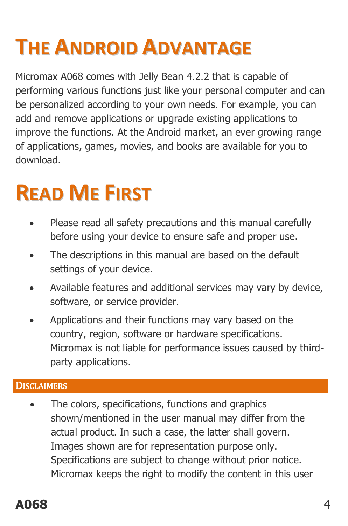# <span id="page-3-0"></span>**THE ANDROID ADVANTAGE**

Micromax A068 comes with Jelly Bean 4.2.2 that is capable of performing various functions just like your personal computer and can be personalized according to your own needs. For example, you can add and remove applications or upgrade existing applications to improve the functions. At the Android market, an ever growing range of applications, games, movies, and books are available for you to download.

# <span id="page-3-1"></span>**READ ME FIRST**

- Please read all safety precautions and this manual carefully before using your device to ensure safe and proper use.
- The descriptions in this manual are based on the default settings of your device.
- Available features and additional services may vary by device, software, or service provider.
- Applications and their functions may vary based on the country, region, software or hardware specifications. Micromax is not liable for performance issues caused by thirdparty applications.

#### <span id="page-3-2"></span>**DISCLAIMERS**

 The colors, specifications, functions and graphics shown/mentioned in the user manual may differ from the actual product. In such a case, the latter shall govern. Images shown are for representation purpose only. Specifications are subject to change without prior notice. Micromax keeps the right to modify the content in this user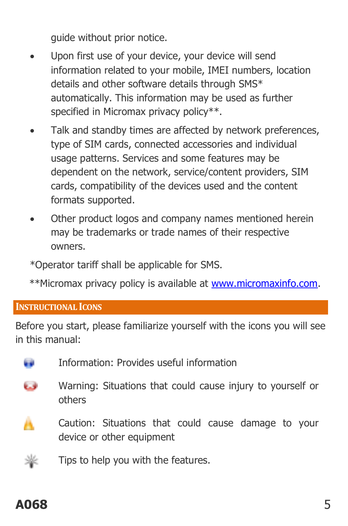guide without prior notice.

- Upon first use of your device, your device will send information related to your mobile, IMEI numbers, location details and other software details through SMS\* automatically. This information may be used as further specified in Micromax privacy policy\*\*.
- Talk and standby times are affected by network preferences, type of SIM cards, connected accessories and individual usage patterns. Services and some features may be dependent on the network, service/content providers, SIM cards, compatibility of the devices used and the content formats supported.
- Other product logos and company names mentioned herein may be trademarks or trade names of their respective owners.

\*Operator tariff shall be applicable for SMS.

\*\*Micromax privacy policy is available a[t www.micromaxinfo.com.](http://www.micromaxinfo.com/)

#### <span id="page-4-0"></span>**INSTRUCTIONAL ICONS**

Before you start, please familiarize yourself with the icons you will see in this manual:



C. Warning: Situations that could cause injury to yourself or others



Caution: Situations that could cause damage to your device or other equipment

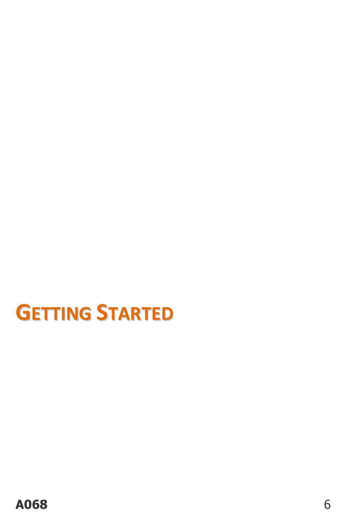<span id="page-5-0"></span>**GETTING STARTED**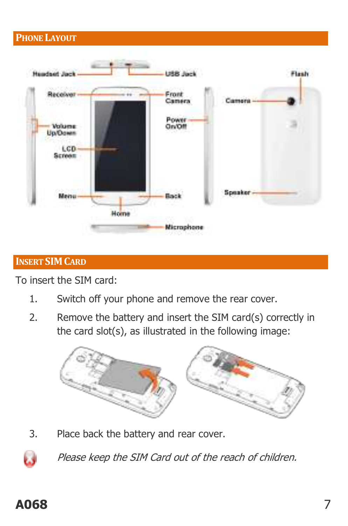#### <span id="page-6-0"></span>**PHONE LAYOUT**



#### <span id="page-6-1"></span>**INSERT SIMCARD**

To insert the SIM card:

- 1. Switch off your phone and remove the rear cover.
- 2. Remove the battery and insert the SIM card(s) correctly in the card slot(s), as illustrated in the following image:



3. Place back the battery and rear cover.

Please keep the SIM Card out of the reach of children.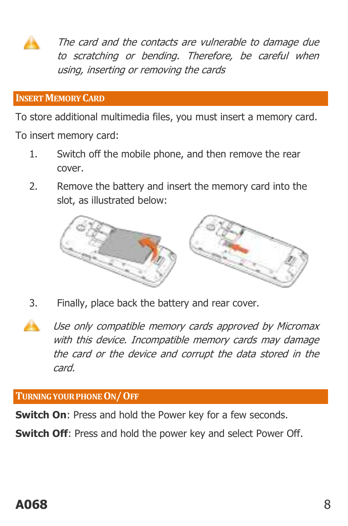The card and the contacts are vulnerable to damage due to scratching or bending. Therefore, be careful when using, inserting or removing the cards

#### <span id="page-7-0"></span>**INSERT MEMORY CARD**

To store additional multimedia files, you must insert a memory card.

To insert memory card:

- 1. Switch off the mobile phone, and then remove the rear cover.
- 2. Remove the battery and insert the memory card into the slot, as illustrated below:



- 3. Finally, place back the battery and rear cover.
- Use only compatible memory cards approved by Micromax with this device. Incompatible memory cards may damage the card or the device and corrupt the data stored in the card.

#### <span id="page-7-1"></span>**TURNING YOUR PHONE ON/OFF**

**Switch On:** Press and hold the Power key for a few seconds.

**Switch Off:** Press and hold the power key and select Power Off.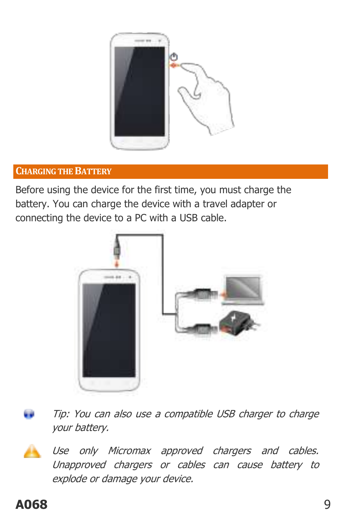

#### <span id="page-8-0"></span>**CHARGING THE BATTERY**

Before using the device for the first time, you must charge the battery. You can charge the device with a travel adapter or connecting the device to a PC with a USB cable.



Tip: You can also use a compatible USB charger to charge your battery.

Use only Micromax approved chargers and cables. Unapproved chargers or cables can cause battery to explode or damage your device.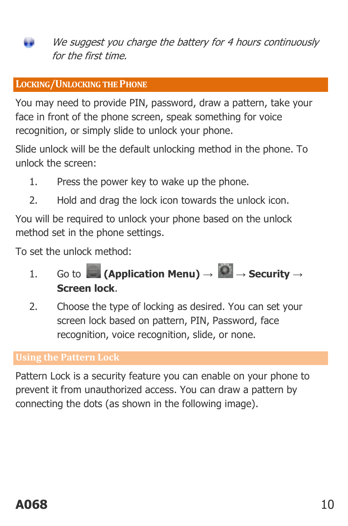We suggest you charge the battery for 4 hours continuously for the first time.

#### <span id="page-9-0"></span>**LOCKING/UNLOCKING THE PHONE**

You may need to provide PIN, password, draw a pattern, take your face in front of the phone screen, speak something for voice recognition, or simply slide to unlock your phone.

Slide unlock will be the default unlocking method in the phone. To unlock the screen:

- 1. Press the power key to wake up the phone.
- 2. Hold and drag the lock icon towards the unlock icon.

You will be required to unlock your phone based on the unlock method set in the phone settings.

To set the unlock method:

- 1. Go to **(Application Menu)**  $\rightarrow$  **O**  $\rightarrow$  **Security**  $\rightarrow$ **Screen lock**.
- 2. Choose the type of locking as desired. You can set your screen lock based on pattern, PIN, Password, face recognition, voice recognition, slide, or none.

#### **Using the Pattern Lock**

Pattern Lock is a security feature you can enable on your phone to prevent it from unauthorized access. You can draw a pattern by connecting the dots (as shown in the following image).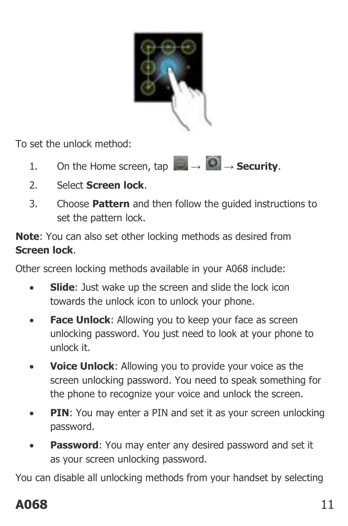

To set the unlock method:

- 1. On the Home screen, tap  $\begin{array}{c} \hline \end{array} \rightarrow \begin{array}{c} \bullet \\ \bullet \end{array}$ **Security.**
- 2. Select **Screen lock**.
- 3. Choose **Pattern** and then follow the guided instructions to set the pattern lock.

**Note**: You can also set other locking methods as desired from **Screen lock**.

Other screen locking methods available in your A068 include:

- **Slide**: Just wake up the screen and slide the lock icon towards the unlock icon to unlock your phone.
- **Face Unlock:** Allowing you to keep your face as screen unlocking password. You just need to look at your phone to unlock it.
- **Voice Unlock**: Allowing you to provide your voice as the screen unlocking password. You need to speak something for the phone to recognize your voice and unlock the screen.
- **PIN**: You may enter a PIN and set it as your screen unlocking password.
- **Password**: You may enter any desired password and set it as your screen unlocking password.

You can disable all unlocking methods from your handset by selecting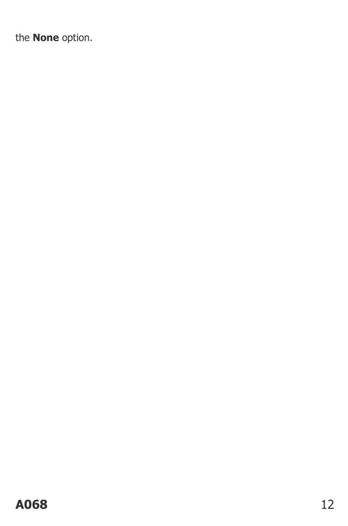the **None** option.

#### A068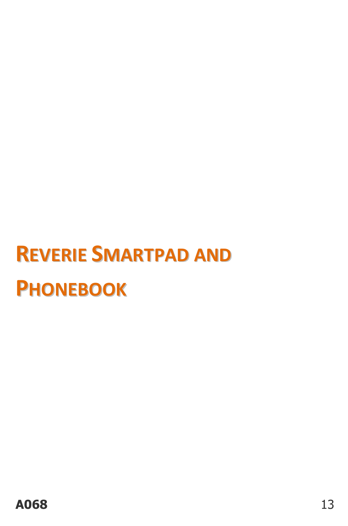# <span id="page-12-0"></span>**REVERIE SMARTPAD AND PHONEBOOK**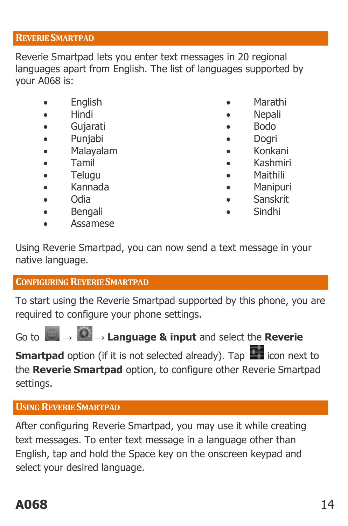#### <span id="page-13-0"></span>**REVERIE SMARTPAD**

Reverie Smartpad lets you enter text messages in 20 regional languages apart from English. The list of languages supported by your A068 is:

- English
- Hindi
- Gujarati
- Punjabi
- Malayalam
- Tamil
- Telugu
- Kannada
- Odia
- Bengali
- Assamese
- Marathi
- **Nepali**
- Bodo
- Dogri
- Konkani
- Kashmiri
- Maithili
- Manipuri
- Sanskrit
- Sindhi

Using Reverie Smartpad, you can now send a text message in your native language.

#### <span id="page-13-1"></span>**CONFIGURING REVERIE SMARTPAD**

To start using the Reverie Smartpad supported by this phone, you are required to configure your phone settings.

Go to **→ → Language & input** and select the **Reverie** 

**Smartpad** option (if it is not selected already). Tap **in the late** icon next to the **Reverie Smartpad** option, to configure other Reverie Smartpad settings.

#### <span id="page-13-2"></span>**USING REVERIE SMARTPAD**

After configuring Reverie Smartpad, you may use it while creating text messages. To enter text message in a language other than English, tap and hold the Space key on the onscreen keypad and select your desired language.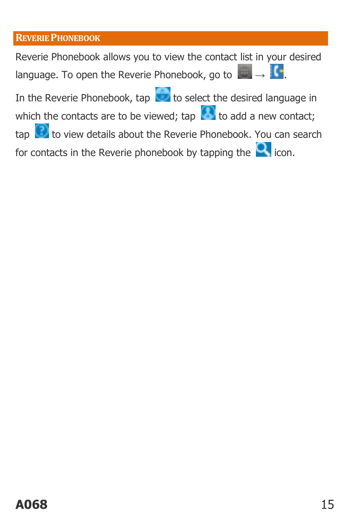#### <span id="page-14-0"></span>**REVERIE PHONEBOOK**

Reverie Phonebook allows you to view the contact list in your desired language. To open the Reverie Phonebook, go to  $\rightarrow \bullet$ .

In the Reverie Phonebook, tap to select the desired language in

which the contacts are to be viewed; tap to add a new contact;

 $\tan \left( \frac{1}{2} \right)$  to view details about the Reverie Phonebook. You can search

for contacts in the Reverie phonebook by tapping the  $\Omega$  icon.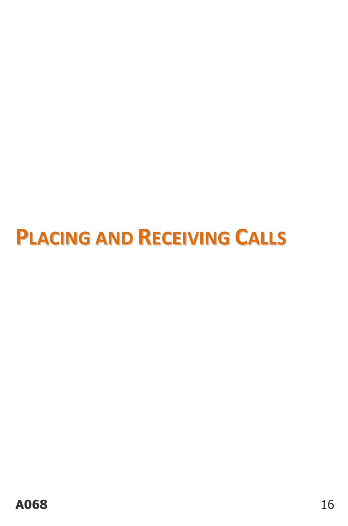# <span id="page-15-0"></span>**PLACING AND RECEIVING CALLS**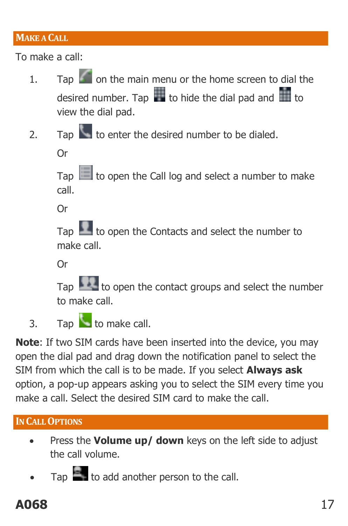#### <span id="page-16-0"></span>**MAKE A CALL**

To make a call:

- 1. Tap  $\Box$  on the main menu or the home screen to dial the desired number. Tap  $\frac{1}{\sqrt{1-\frac{1}{\sqrt{1-\frac{1}{\sqrt{1-\frac{1}{\sqrt{1-\frac{1}{\sqrt{1-\frac{1}{\sqrt{1-\frac{1}{\sqrt{1-\frac{1}{\sqrt{1-\frac{1}{\sqrt{1-\frac{1}{\sqrt{1-\frac{1}{\sqrt{1-\frac{1}{\sqrt{1-\frac{1}{\sqrt{1-\frac{1}{\sqrt{1-\frac{1}{\sqrt{1-\frac{1}{\sqrt{1-\frac{1}{\sqrt{1-\frac{1}{\sqrt{1-\frac{1}{\sqrt{1-\frac{1}{\sqrt{1-\frac{1}{\sqrt{1-\frac{1}{\sqrt{1-\frac$ view the dial pad.
- 2. Tap  $\sim$  to enter the desired number to be dialed.

Or

Tap  $\Box$  to open the Call log and select a number to make call.

Or

Tap  $\mathbb{R}$  to open the Contacts and select the number to make call.

Or

Tap to open the contact groups and select the number to make call.

3. Tap to make call.

**Note**: If two SIM cards have been inserted into the device, you may open the dial pad and drag down the notification panel to select the SIM from which the call is to be made. If you select **Always ask** option, a pop-up appears asking you to select the SIM every time you make a call. Select the desired SIM card to make the call.

#### <span id="page-16-1"></span>**IN CALL OPTIONS**

- Press the **Volume up/ down** keys on the left side to adjust the call volume.
- $T_{AD}$  to add another person to the call.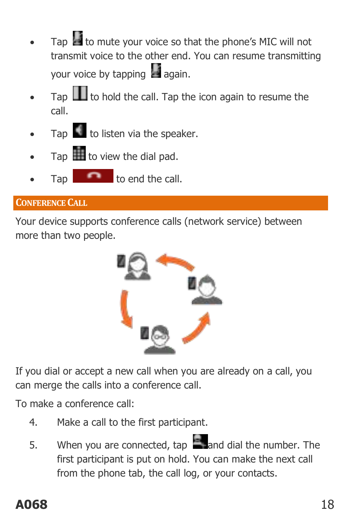- Tap to mute your voice so that the phone's MIC will not transmit voice to the other end. You can resume transmitting your voice by tapping  $\frac{1}{2}$  again.
- Tap  $\Box$  to hold the call. Tap the icon again to resume the call.
- Tap to listen via the speaker.
- Tap  $\mathbf{I}$  to view the dial pad.
- $T$ ap  $T$  to end the call.

#### <span id="page-17-0"></span>**CONFERENCE CALL**

Your device supports conference calls (network service) between more than two people.



If you dial or accept a new call when you are already on a call, you can merge the calls into a conference call.

To make a conference call:

- 4. Make a call to the first participant.
- 5. When you are connected, tap and dial the number. The first participant is put on hold. You can make the next call from the phone tab, the call log, or your contacts.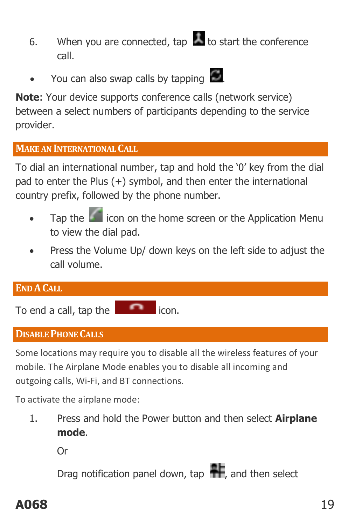- 6. When you are connected, tap  $\sim$  to start the conference call.
- You can also swap calls by tapping  $\Box$ .

**Note**: Your device supports conference calls (network service) between a select numbers of participants depending to the service provider.

#### <span id="page-18-0"></span>**MAKE AN INTERNATIONAL CALL**

To dial an international number, tap and hold the '0' key from the dial pad to enter the Plus (+) symbol, and then enter the international country prefix, followed by the phone number.

- Tap the  $\left| \cdot \right|$  icon on the home screen or the Application Menu to view the dial pad.
- Press the Volume Up/ down keys on the left side to adjust the call volume.

<span id="page-18-1"></span>

| <b>END A CALL</b>      |       |
|------------------------|-------|
| To end a call, tap the | icon. |

#### <span id="page-18-2"></span>**DISABLE PHONE CALLS**

Some locations may require you to disable all the wireless features of your mobile. The Airplane Mode enables you to disable all incoming and outgoing calls, Wi-Fi, and BT connections.

To activate the airplane mode:

1. Press and hold the Power button and then select **Airplane mode**.

Or

Drag notification panel down, tap  $\mathbf{H}$ , and then select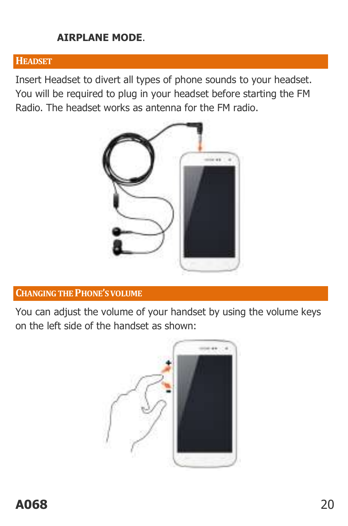#### **AIRPLANE MODE**.

#### <span id="page-19-0"></span>**HEADSET**

Insert Headset to divert all types of phone sounds to your headset. You will be required to plug in your headset before starting the FM Radio. The headset works as antenna for the FM radio.



#### <span id="page-19-1"></span>**CHANGING THE PHONE'S VOLUME**

You can adjust the volume of your handset by using the volume keys on the left side of the handset as shown:

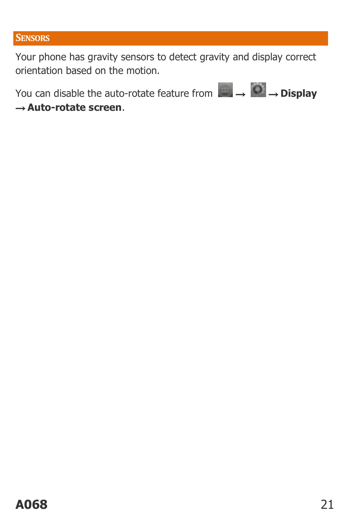#### <span id="page-20-0"></span>**SENSORS**

Your phone has gravity sensors to detect gravity and display correct orientation based on the motion.

You can disable the auto-rotate feature from  $\begin{array}{ccc}\n\downarrow & \rightarrow & \bullet \\
\rightarrow & \text{Display}\n\end{array}$ 

→ **Auto-rotate screen**.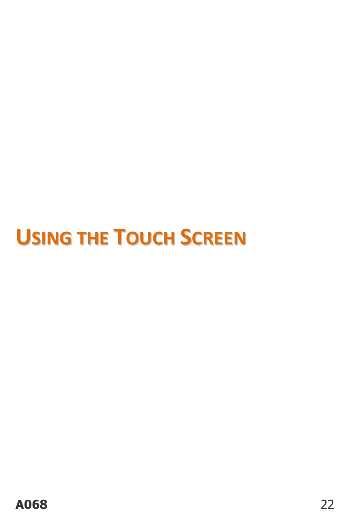# <span id="page-21-0"></span>**USING THE TOUCH SCREEN**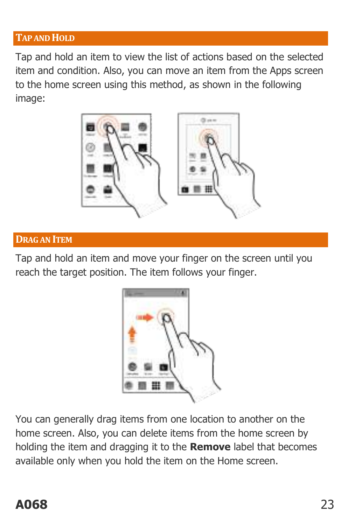#### <span id="page-22-0"></span>**TAP AND HOLD**

Tap and hold an item to view the list of actions based on the selected item and condition. Also, you can move an item from the Apps screen to the home screen using this method, as shown in the following image:



#### <span id="page-22-1"></span>**DRAG AN ITEM**

Tap and hold an item and move your finger on the screen until you reach the target position. The item follows your finger.



You can generally drag items from one location to another on the home screen. Also, you can delete items from the home screen by holding the item and dragging it to the **Remove** label that becomes available only when you hold the item on the Home screen.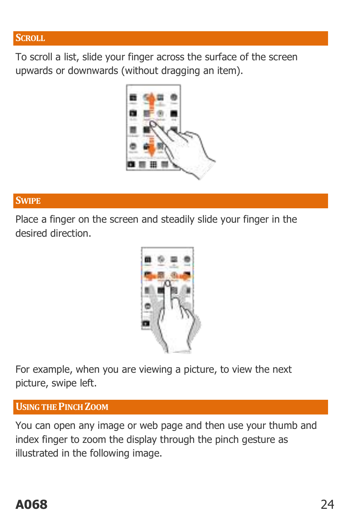#### <span id="page-23-0"></span>**SCROLL**

To scroll a list, slide your finger across the surface of the screen upwards or downwards (without dragging an item).



#### <span id="page-23-1"></span>**SWIPE**

Place a finger on the screen and steadily slide your finger in the desired direction.



For example, when you are viewing a picture, to view the next picture, swipe left.

#### <span id="page-23-2"></span>**USING THE PINCH ZOOM**

You can open any image or web page and then use your thumb and index finger to zoom the display through the pinch gesture as illustrated in the following image.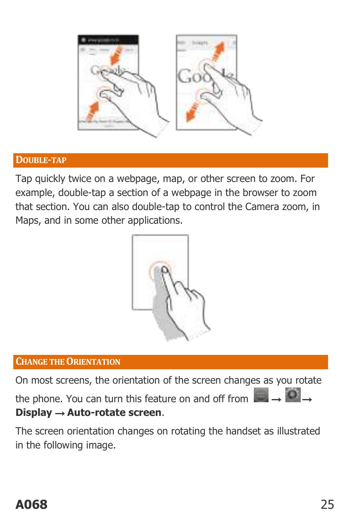

#### <span id="page-24-0"></span>**DOUBLE-TAP**

Tap quickly twice on a webpage, map, or other screen to zoom. For example, double-tap a section of a webpage in the browser to zoom that section. You can also double-tap to control the Camera zoom, in Maps, and in some other applications.



#### <span id="page-24-1"></span>**CHANGE THE ORIENTATION**

On most screens, the orientation of the screen changes as you rotate the phone. You can turn this feature on and off from  $\rightarrow \bullet$ **Display** → **Auto-rotate screen**.

The screen orientation changes on rotating the handset as illustrated in the following image.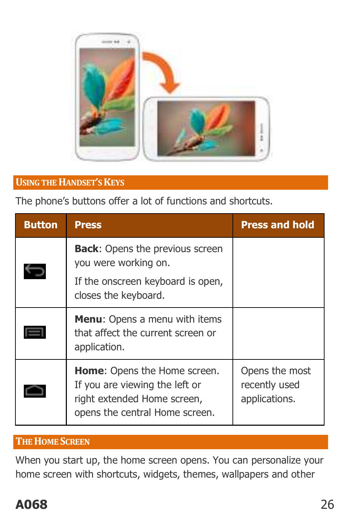

#### <span id="page-25-0"></span>**USING THE HANDSET'S KEYS**

The phone's buttons offer a lot of functions and shortcuts.

| <b>Button</b> | <b>Press</b>                                                                                                                           | <b>Press and hold</b>                            |
|---------------|----------------------------------------------------------------------------------------------------------------------------------------|--------------------------------------------------|
|               | <b>Back:</b> Opens the previous screen<br>you were working on.<br>If the onscreen keyboard is open,<br>closes the keyboard.            |                                                  |
|               | <b>Menu:</b> Opens a menu with items<br>that affect the current screen or<br>application.                                              |                                                  |
|               | <b>Home:</b> Opens the Home screen.<br>If you are viewing the left or<br>right extended Home screen,<br>opens the central Home screen. | Opens the most<br>recently used<br>applications. |

#### <span id="page-25-1"></span>**THE HOME SCREEN**

When you start up, the home screen opens. You can personalize your home screen with shortcuts, widgets, themes, wallpapers and other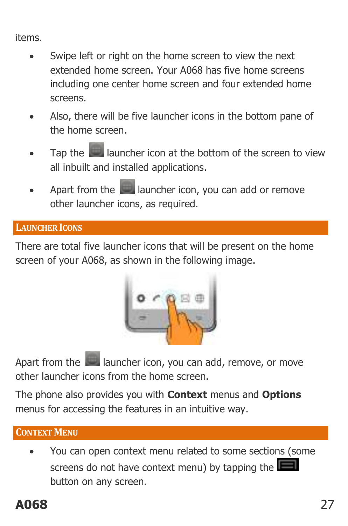items.

- Swipe left or right on the home screen to view the next extended home screen. Your A068 has five home screens including one center home screen and four extended home screens.
- Also, there will be five launcher icons in the bottom pane of the home screen.
- Tap the **launcher icon at the bottom of the screen to view** all inbuilt and installed applications.
- Apart from the **launcher icon, you can add or remove** other launcher icons, as required.

#### <span id="page-26-0"></span>**LAUNCHER ICONS**

There are total five launcher icons that will be present on the home screen of your A068, as shown in the following image.



Apart from the **launcher icon, you can add, remove, or move** other launcher icons from the home screen.

The phone also provides you with **Context** menus and **Options** menus for accessing the features in an intuitive way.

#### <span id="page-26-1"></span>**CONTEXT MENU**

 You can open context menu related to some sections (some screens do not have context menu) by tapping the button on any screen.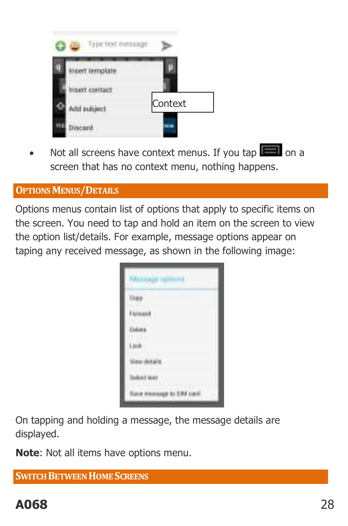| Type text message  |         |
|--------------------|---------|
|                    |         |
| Hiert contact      |         |
| dd subject<br>asau | Context |
| scartt             |         |

Not all screens have context menus. If you tap  $\Box$  on a screen that has no context menu, nothing happens.

#### <span id="page-27-0"></span>**OPTIONS MENUS/DETAILS**

Options menus contain list of options that apply to specific items on the screen. You need to tap and hold an item on the screen to view the option list/details. For example, message options appear on taping any received message, as shown in the following image:

|              | <b>MALLINER SERIESTS</b> |  |
|--------------|--------------------------|--|
|              |                          |  |
|              | ١                        |  |
|              |                          |  |
|              |                          |  |
| View de      | in.                      |  |
| Sales ( MAY) |                          |  |
|              |                          |  |

On tapping and holding a message, the message details are displayed.

**Note**: Not all items have options menu.

<span id="page-27-1"></span>**SWITCH BETWEEN HOME SCREENS**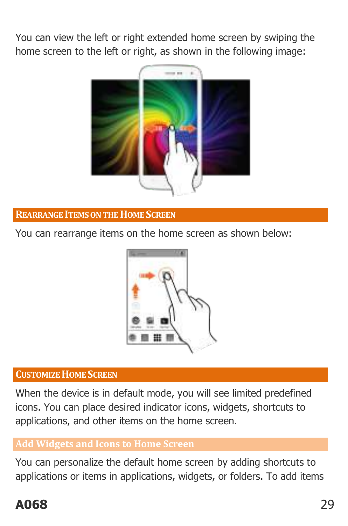You can view the left or right extended home screen by swiping the home screen to the left or right, as shown in the following image:



#### <span id="page-28-0"></span>**REARRANGE ITEMS ON THE HOME SCREEN**

You can rearrange items on the home screen as shown below:



#### <span id="page-28-1"></span>**CUSTOMIZE HOME SCREEN**

When the device is in default mode, you will see limited predefined icons. You can place desired indicator icons, widgets, shortcuts to applications, and other items on the home screen.

#### **Add Widgets and Icons to Home Screen**

You can personalize the default home screen by adding shortcuts to applications or items in applications, widgets, or folders. To add items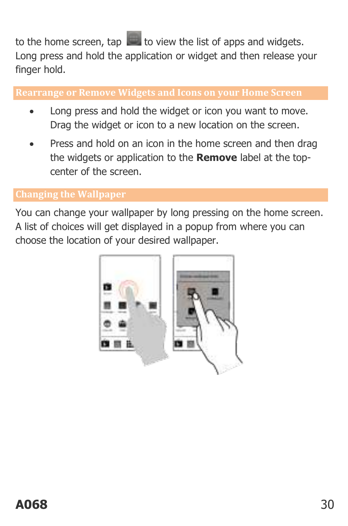to the home screen,  $\tan \Box$  to view the list of apps and widgets. Long press and hold the application or widget and then release your finger hold.

**Rearrange or Remove Widgets and Icons on your Home Screen** 

- Long press and hold the widget or icon you want to move. Drag the widget or icon to a new location on the screen.
- Press and hold on an icon in the home screen and then drag the widgets or application to the **Remove** label at the topcenter of the screen.

You can change your wallpaper by long pressing on the home screen. A list of choices will get displayed in a popup from where you can choose the location of your desired wallpaper.

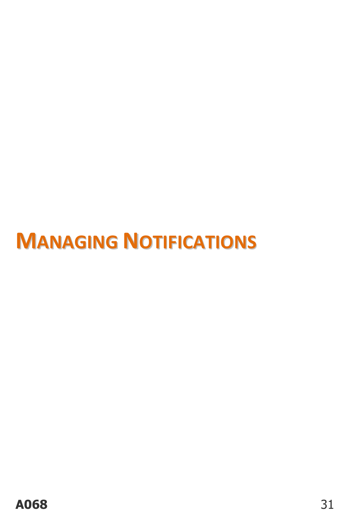# <span id="page-30-0"></span>**MANAGING NOTIFICATIONS**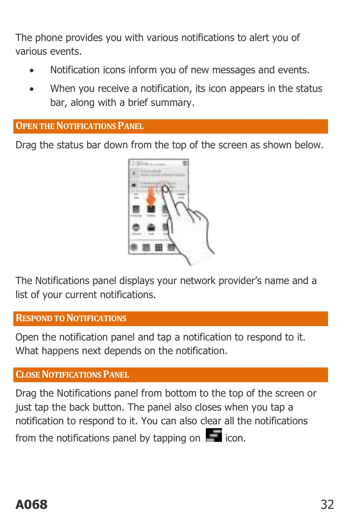The phone provides you with various notifications to alert you of various events.

- Notification icons inform you of new messages and events.
- When you receive a notification, its icon appears in the status bar, along with a brief summary.

#### <span id="page-31-0"></span>**OPEN THE NOTIFICATIONS PANEL**

Drag the status bar down from the top of the screen as shown below.



The Notifications panel displays your network provider's name and a list of your current notifications.

#### <span id="page-31-1"></span>**RESPOND TO NOTIFICATIONS**

Open the notification panel and tap a notification to respond to it. What happens next depends on the notification.

#### <span id="page-31-2"></span>**CLOSE NOTIFICATIONS PANEL**

Drag the Notifications panel from bottom to the top of the screen or just tap the back button. The panel also closes when you tap a notification to respond to it. You can also clear all the notifications

from the notifications panel by tapping on  $\Box$  icon.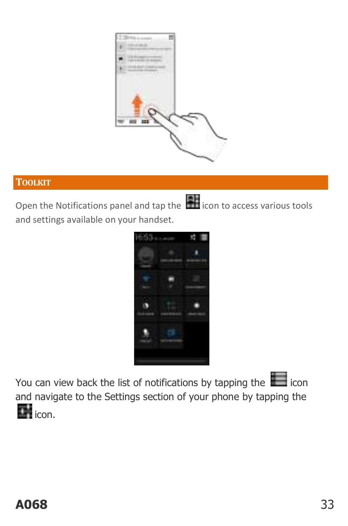

#### <span id="page-32-0"></span>**TOOLKIT**

Open the Notifications panel and tap the **interest in the conducts** various tools and settings available on your handset.



You can view back the list of notifications by tapping the icon and navigate to the Settings section of your phone by tapping the  $\blacksquare$ <sub>icon.</sub>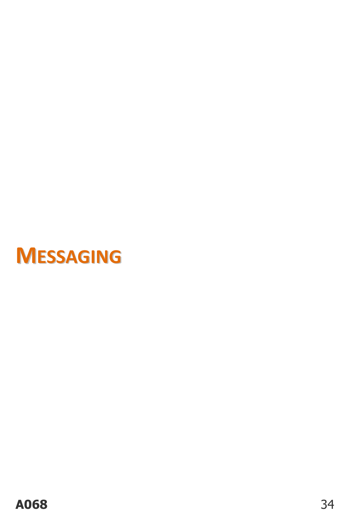<span id="page-33-0"></span>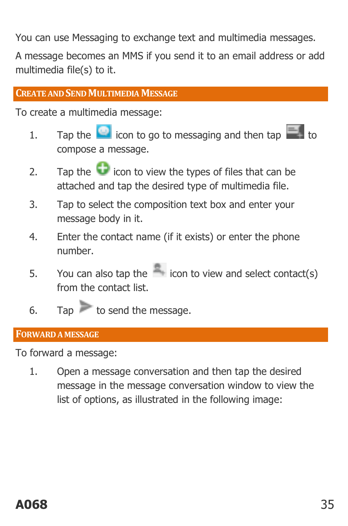You can use Messaging to exchange text and multimedia messages.

A message becomes an MMS if you send it to an email address or add multimedia file(s) to it.

#### <span id="page-34-0"></span>**CREATE AND SEND MULTIMEDIA MESSAGE**

To create a multimedia message:

- 1. Tap the  $\bullet$  icon to go to messaging and then tap compose a message.
- 2. Tap the  $\Box$  icon to view the types of files that can be attached and tap the desired type of multimedia file.
- 3. Tap to select the composition text box and enter your message body in it.
- 4. Enter the contact name (if it exists) or enter the phone number.
- 5. You can also tap the  $\sim$  icon to view and select contact(s) from the contact list.
- 6. Tap to send the message.

#### <span id="page-34-1"></span>**FORWARD A MESSAGE**

To forward a message:

1. Open a message conversation and then tap the desired message in the message conversation window to view the list of options, as illustrated in the following image: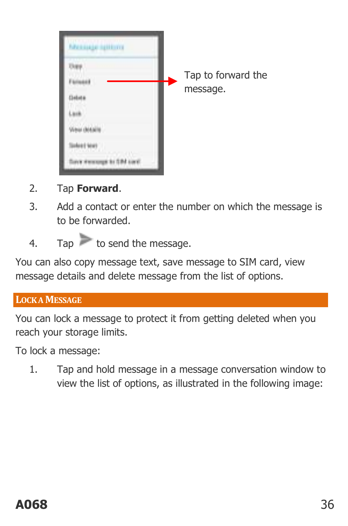| <b>MARINER REBOYCE</b> |                    |
|------------------------|--------------------|
|                        |                    |
|                        | Tap to forward the |
|                        | message.           |
|                        |                    |
|                        |                    |
|                        |                    |
|                        |                    |

- 2. Tap **Forward**.
- 3. Add a contact or enter the number on which the message is to be forwarded.
- 4. Tap to send the message.

You can also copy message text, save message to SIM card, view message details and delete message from the list of options.

#### <span id="page-35-0"></span>**LOCK A MESSAGE**

You can lock a message to protect it from getting deleted when you reach your storage limits.

To lock a message:

1. Tap and hold message in a message conversation window to view the list of options, as illustrated in the following image: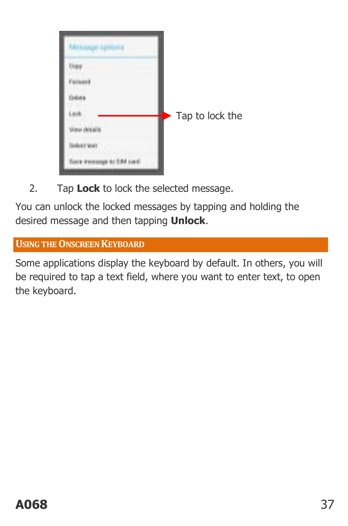| <b>MAXIMUM NUTTING</b> |                 |
|------------------------|-----------------|
|                        |                 |
|                        |                 |
|                        |                 |
|                        | Tap to lock the |
|                        |                 |
| w                      |                 |
|                        |                 |

2. Tap **Lock** to lock the selected message.

You can unlock the locked messages by tapping and holding the desired message and then tapping **Unlock**.

<span id="page-36-0"></span>**USING THE ONSCREEN KEYBOARD**

Some applications display the keyboard by default. In others, you will be required to tap a text field, where you want to enter text, to open the keyboard.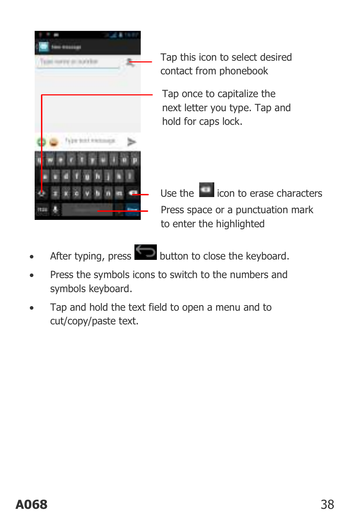

Tap this icon to select desired contact from phonebook

Tap once to capitalize the next letter you type. Tap and hold for caps lock.

- Press space or a punctuation mark to enter the highlighted Use the  $\left| \rule{0cm}{0cm} \right|$  icon to erase characters
- 



After typing, press button to close the keyboard.

- Press the symbols icons to switch to the numbers and symbols keyboard.
- Tap and hold the text field to open a menu and to cut/copy/paste text.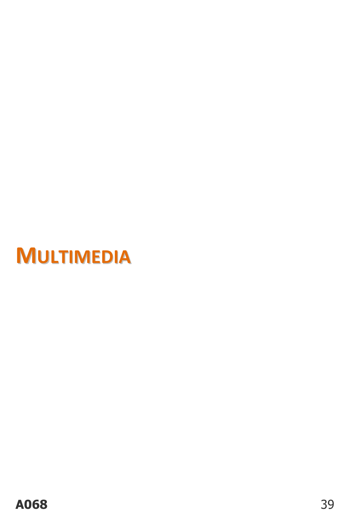<span id="page-38-0"></span>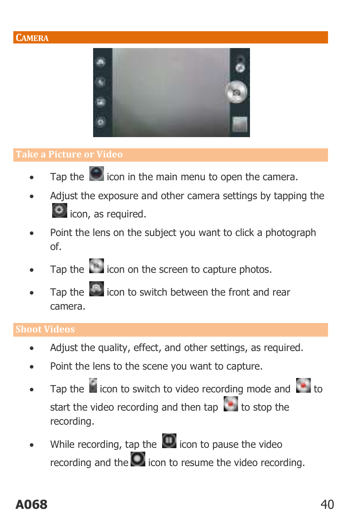

- Tap the  $\blacksquare$  icon in the main menu to open the camera.
- Adjust the exposure and other camera settings by tapping the  $\bullet$  icon, as required.
- Point the lens on the subject you want to click a photograph of.
- Tap the  $\left[\begin{array}{c} \blacksquare \\ \blacksquare \end{array}\right]$  icon on the screen to capture photos.
- Tap the **induced** icon to switch between the front and rear camera.

#### **Shoot Videos**

- Adjust the quality, effect, and other settings, as required.
- Point the lens to the scene you want to capture.
- Tap the  $\Box$  icon to switch to video recording mode and  $\Box$  to start the video recording and then tap  $\ddot{\phantom{a}}$  to stop the recording.
- While recording, tap the  $\Box$  icon to pause the video recording and the  $\Box$  icon to resume the video recording.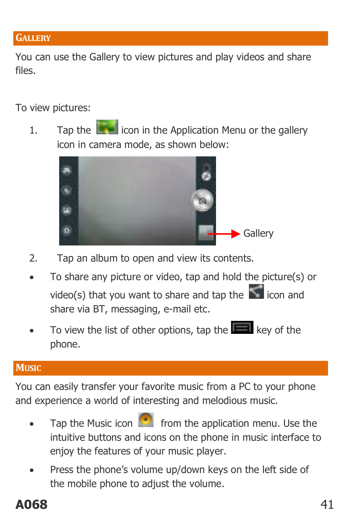<span id="page-40-0"></span>You can use the Gallery to view pictures and play videos and share files.

To view pictures:

1. Tap the **interest in the Application Menu or the gallery** icon in camera mode, as shown below:



- 2. Tap an album to open and view its contents.
- To share any picture or video, tap and hold the picture(s) or video(s) that you want to share and tap the  $\sim$  icon and share via BT, messaging, e-mail etc.
- To view the list of other options, tap the  $\Box$  key of the phone.

#### <span id="page-40-1"></span>**MUSIC**

You can easily transfer your favorite music from a PC to your phone and experience a world of interesting and melodious music.

- Tap the Music icon  $\begin{array}{|c|c|} \hline \bullet & \bullet \end{array}$  from the application menu. Use the intuitive buttons and icons on the phone in music interface to enjoy the features of your music player.
- Press the phone's volume up/down keys on the left side of the mobile phone to adjust the volume.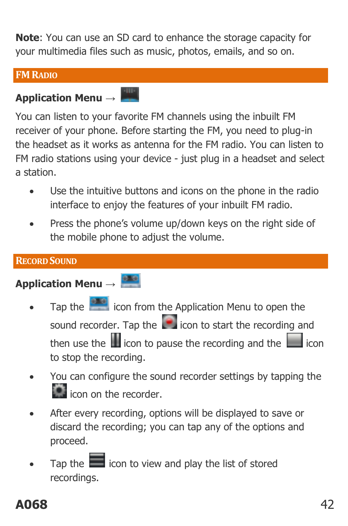**Note**: You can use an SD card to enhance the storage capacity for your multimedia files such as music, photos, emails, and so on.

#### <span id="page-41-0"></span>**FMRADIO**

## **Application Menu →**

You can listen to your favorite FM channels using the inbuilt FM receiver of your phone. Before starting the FM, you need to plug-in the headset as it works as antenna for the FM radio. You can listen to FM radio stations using your device - just plug in a headset and select a station.

- Use the intuitive buttons and icons on the phone in the radio interface to enjoy the features of your inbuilt FM radio.
- Press the phone's volume up/down keys on the right side of the mobile phone to adjust the volume.

#### <span id="page-41-1"></span>**RECORD SOUND**

## **Application Menu →**

- Tap the **interpretation** from the Application Menu to open the sound recorder. Tap the  $\Box$  icon to start the recording and then use the  $\blacksquare$  icon to pause the recording and the  $\blacksquare$  icon to stop the recording.
- You can configure the sound recorder settings by tapping the **inc** icon on the recorder.
- After every recording, options will be displayed to save or discard the recording; you can tap any of the options and proceed.
- Tap the  $\Box$  icon to view and play the list of stored recordings.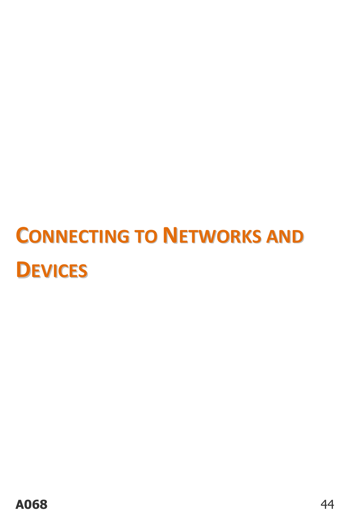# <span id="page-43-0"></span>**CONNECTING TO NETWORKS AND DEVICES**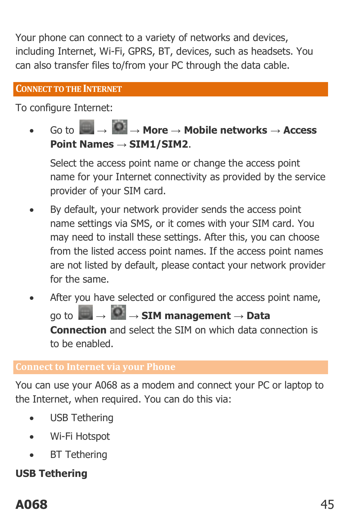Your phone can connect to a variety of networks and devices, including Internet, Wi-Fi, GPRS, BT, devices, such as headsets. You can also transfer files to/from your PC through the data cable.

#### <span id="page-44-0"></span>**CONNECT TO THE INTERNET**

To configure Internet:

 $G \circ \text{for } G \rightarrow \text{More} \rightarrow \text{Mobile networks} \rightarrow \text{Access}$ **Point Names → SIM1/SIM2**.

Select the access point name or change the access point name for your Internet connectivity as provided by the service provider of your SIM card.

- By default, your network provider sends the access point name settings via SMS, or it comes with your SIM card. You may need to install these settings. After this, you can choose from the listed access point names. If the access point names are not listed by default, please contact your network provider for the same.
- After you have selected or configured the access point name, go to **→ → SIM management → Data Connection** and select the SIM on which data connection is to be enabled.

#### **Connect to Internet via your Phone**

You can use your A068 as a modem and connect your PC or laptop to the Internet, when required. You can do this via:

- USB Tethering
- Wi-Fi Hotspot
- BT Tethering

#### **USB Tethering**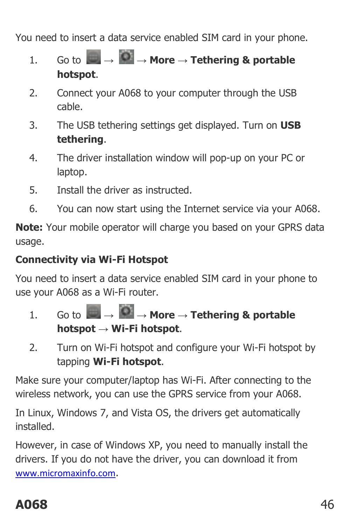You need to insert a data service enabled SIM card in your phone.

- $1.$  Go to  $\rightarrow$   $\rightarrow$  **More**  $\rightarrow$  **Tethering & portable hotspot**.
- 2. Connect your A068 to your computer through the USB cable.
- 3. The USB tethering settings get displayed. Turn on **USB tethering**.
- 4. The driver installation window will pop-up on your PC or laptop.
- 5. Install the driver as instructed.
- 6. You can now start using the Internet service via your A068.

**Note:** Your mobile operator will charge you based on your GPRS data usage.

#### **Connectivity via Wi-Fi Hotspot**

You need to insert a data service enabled SIM card in your phone to use your A068 as a Wi-Fi router.

- 1. Go to **→ → More → Tethering & portable hotspot → Wi-Fi hotspot**.
- 2. Turn on Wi-Fi hotspot and configure your Wi-Fi hotspot by tapping **Wi-Fi hotspot**.

Make sure your computer/laptop has Wi-Fi. After connecting to the wireless network, you can use the GPRS service from your A068.

In Linux, Windows 7, and Vista OS, the drivers get automatically installed.

However, in case of Windows XP, you need to manually install the drivers. If you do not have the driver, you can download it from [www.micromaxinfo.com](http://www.micromaxinfo.com/).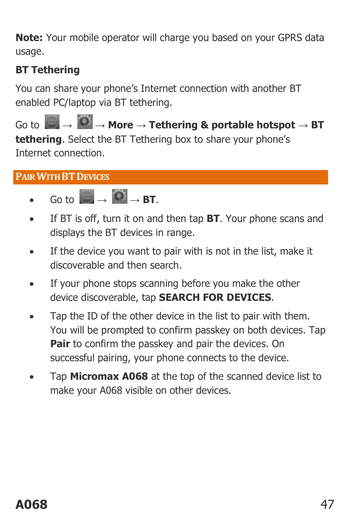**Note:** Your mobile operator will charge you based on your GPRS data usage.

#### **BT Tethering**

You can share your phone's Internet connection with another BT enabled PC/laptop via BT tethering.

Go to **→ → More → Tethering & portable hotspot → BT tethering**. Select the BT Tethering box to share your phone's Internet connection.

#### <span id="page-46-0"></span>**PAIR WITH BTDEVICES**

- $\overline{SO}$  to  $\overline{O}$   $\rightarrow$  **BT**
- If BT is off, turn it on and then tap **BT**. Your phone scans and displays the BT devices in range.
- If the device you want to pair with is not in the list, make it discoverable and then search.
- If your phone stops scanning before you make the other device discoverable, tap **SEARCH FOR DEVICES**.
- Tap the ID of the other device in the list to pair with them. You will be prompted to confirm passkey on both devices. Tap **Pair** to confirm the passkey and pair the devices. On successful pairing, your phone connects to the device.
- Tap **Micromax A068** at the top of the scanned device list to make your A068 visible on other devices.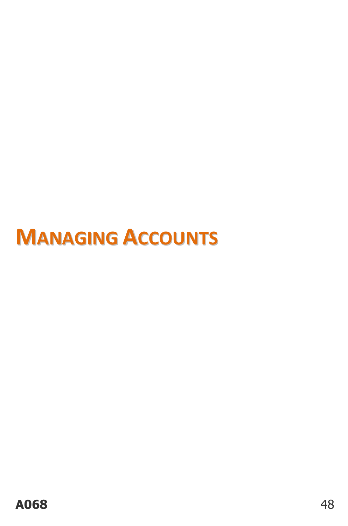# <span id="page-47-0"></span>**MANAGING ACCOUNTS**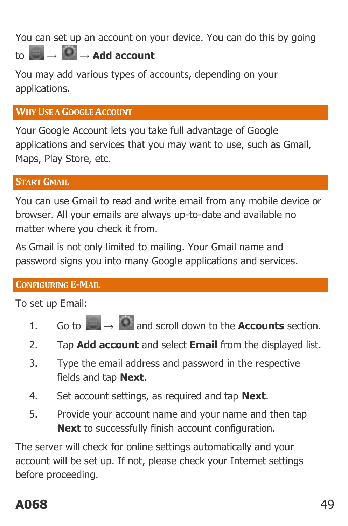You can set up an account on your device. You can do this by going  $\uparrow$  **+**  $\uparrow$   $\uparrow$   $\downarrow$   $\downarrow$   $\uparrow$   $\downarrow$   $\uparrow$   $\downarrow$   $\uparrow$   $\uparrow$   $\uparrow$   $\uparrow$   $\uparrow$   $\uparrow$   $\uparrow$   $\uparrow$   $\uparrow$   $\uparrow$   $\uparrow$   $\uparrow$   $\uparrow$   $\uparrow$   $\uparrow$   $\uparrow$   $\uparrow$   $\uparrow$   $\uparrow$   $\uparrow$   $\uparrow$   $\uparrow$   $\uparrow$   $\uparrow$   $\uparrow$   $\uparrow$   $\uparrow$ 

You may add various types of accounts, depending on your applications.

#### <span id="page-48-0"></span>**WHY USE A GOOGLE ACCOUNT**

Your Google Account lets you take full advantage of Google applications and services that you may want to use, such as Gmail, Maps, Play Store, etc.

#### <span id="page-48-1"></span>**START GMAIL**

You can use Gmail to read and write email from any mobile device or browser. All your emails are always up-to-date and available no matter where you check it from.

As Gmail is not only limited to mailing. Your Gmail name and password signs you into many Google applications and services.

#### <span id="page-48-2"></span>**CONFIGURING E-MAIL**

To set up Email:

- 1. Go to  $\rightarrow$   $\rightarrow$  and scroll down to the **Accounts** section.
- 2. Tap **Add account** and select **Email** from the displayed list.
- 3. Type the email address and password in the respective fields and tap **Next**.
- 4. Set account settings, as required and tap **Next**.
- 5. Provide your account name and your name and then tap **Next** to successfully finish account configuration.

The server will check for online settings automatically and your account will be set up. If not, please check your Internet settings before proceeding.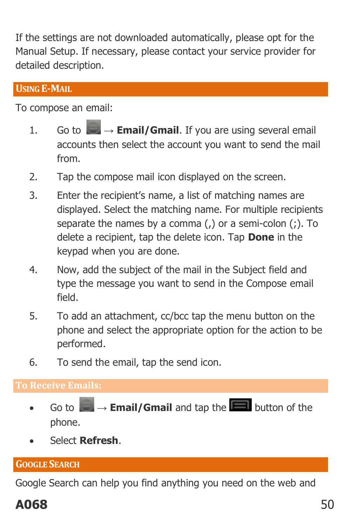If the settings are not downloaded automatically, please opt for the Manual Setup. If necessary, please contact your service provider for detailed description.

#### <span id="page-49-0"></span>**USING E-MAIL**

To compose an email:

- 1. Go to  $\Box$   $\rightarrow$  **Email/Gmail**. If you are using several email accounts then select the account you want to send the mail from.
- 2. Tap the compose mail icon displayed on the screen.
- 3. Enter the recipient's name, a list of matching names are displayed. Select the matching name. For multiple recipients separate the names by a comma (,) or a semi-colon (;). To delete a recipient, tap the delete icon. Tap **Done** in the keypad when you are done.
- 4. Now, add the subject of the mail in the Subject field and type the message you want to send in the Compose email field.
- 5. To add an attachment, cc/bcc tap the menu button on the phone and select the appropriate option for the action to be performed.
- 6. To send the email, tap the send icon.

- Go to  $\rightarrow$  **Email/Gmail** and tap the **D** button of the phone.
- Select **Refresh**.

#### <span id="page-49-1"></span>**GOOGLE SEARCH**

Google Search can help you find anything you need on the web and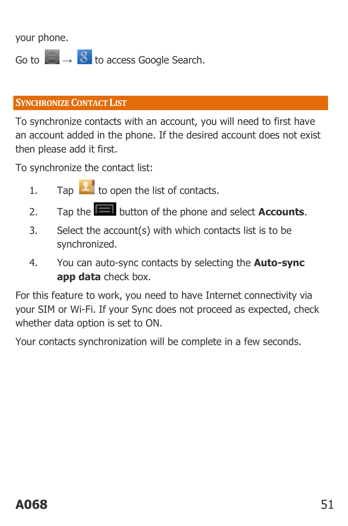your phone.

Go to **→ B** to access Google Search.

#### <span id="page-50-0"></span>**SYNCHRONIZE CONTACT LIST**

To synchronize contacts with an account, you will need to first have an account added in the phone. If the desired account does not exist then please add it first.

To synchronize the contact list:

- 1. Tap  $\Box$  to open the list of contacts.
- 2. Tap the button of the phone and select **Accounts**.
- 3. Select the account(s) with which contacts list is to be synchronized.
- 4. You can auto-sync contacts by selecting the **Auto-sync app data** check box.

For this feature to work, you need to have Internet connectivity via your SIM or Wi-Fi. If your Sync does not proceed as expected, check whether data option is set to ON.

Your contacts synchronization will be complete in a few seconds.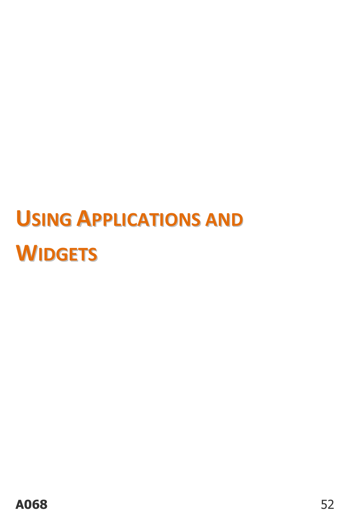# <span id="page-51-0"></span>**USING APPLICATIONS AND WIDGETS**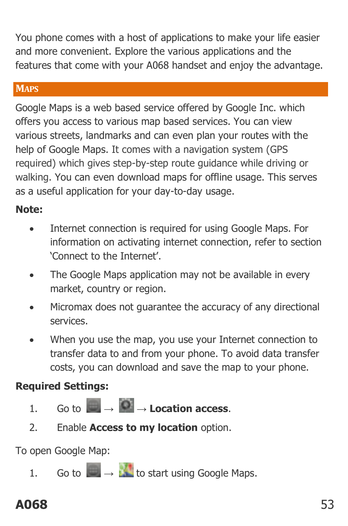You phone comes with a host of applications to make your life easier and more convenient. Explore the various applications and the features that come with your A068 handset and enjoy the advantage.

#### <span id="page-52-0"></span>**MAPS**

Google Maps is a web based service offered by Google Inc. which offers you access to various map based services. You can view various streets, landmarks and can even plan your routes with the help of Google Maps. It comes with a navigation system (GPS required) which gives step-by-step route guidance while driving or walking. You can even download maps for offline usage. This serves as a useful application for your day-to-day usage.

#### **Note:**

- Internet connection is required for using Google Maps. For information on activating internet connection, refer to section 'Connect to the Internet'.
- The Google Maps application may not be available in every market, country or region.
- Micromax does not guarantee the accuracy of any directional services.
- When you use the map, you use your Internet connection to transfer data to and from your phone. To avoid data transfer costs, you can download and save the map to your phone.

#### **Required Settings:**

- $1.60 \text{ to } \rightarrow 0.10$  **A Location access**.
- 2. Enable **Access to my location** option.

To open Google Map:

1. Go to **→ to** start using Google Maps.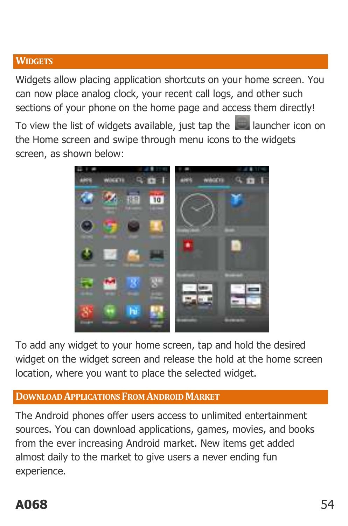#### <span id="page-53-0"></span>**WIDGETS**

Widgets allow placing application shortcuts on your home screen. You can now place analog clock, your recent call logs, and other such sections of your phone on the home page and access them directly!

To view the list of widgets available, just tap the **launcher icon on** the Home screen and swipe through menu icons to the widgets screen, as shown below:



To add any widget to your home screen, tap and hold the desired widget on the widget screen and release the hold at the home screen location, where you want to place the selected widget.

#### <span id="page-53-1"></span>**DOWNLOAD APPLICATIONS FROM ANDROID MARKET**

The Android phones offer users access to unlimited entertainment sources. You can download applications, games, movies, and books from the ever increasing Android market. New items get added almost daily to the market to give users a never ending fun experience.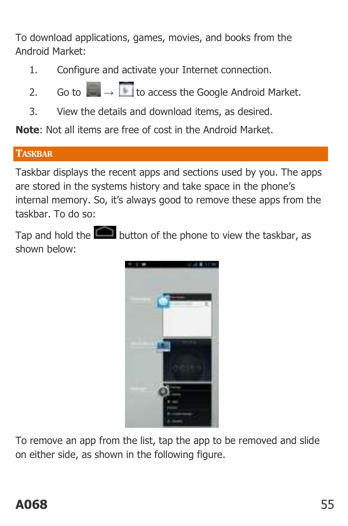To download applications, games, movies, and books from the Android Market:

- 1. Configure and activate your Internet connection.
- 2. Go to  $\rightarrow$  **to access the Google Android Market.**
- 3. View the details and download items, as desired.

**Note**: Not all items are free of cost in the Android Market.

#### <span id="page-54-0"></span>**TASKBAR**

Taskbar displays the recent apps and sections used by you. The apps are stored in the systems history and take space in the phone's internal memory. So, it's always good to remove these apps from the taskbar. To do so:

Tap and hold the **button** of the phone to view the taskbar, as shown below:



To remove an app from the list, tap the app to be removed and slide on either side, as shown in the following figure.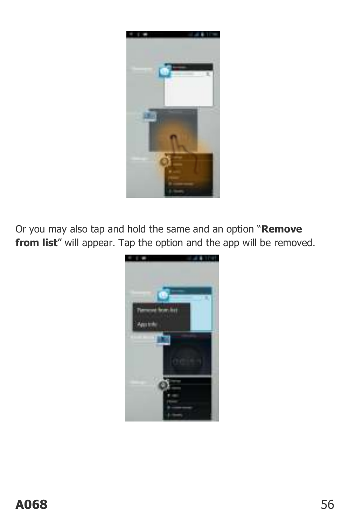

Or you may also tap and hold the same and an option "**Remove**  from list" will appear. Tap the option and the app will be removed.

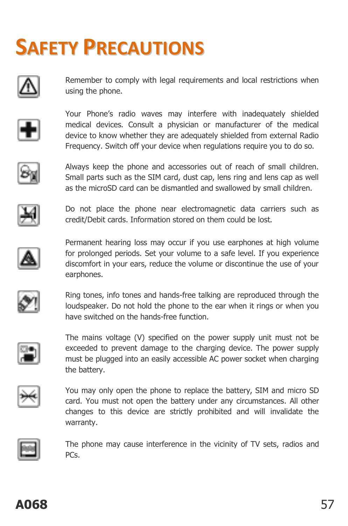# <span id="page-56-0"></span>**SAFETY PRECAUTIONS**



Remember to comply with legal requirements and local restrictions when using the phone.



Your Phone's radio waves may interfere with inadequately shielded medical devices. Consult a physician or manufacturer of the medical device to know whether they are adequately shielded from external Radio Frequency. Switch off your device when regulations require you to do so.



Always keep the phone and accessories out of reach of small children. Small parts such as the SIM card, dust cap, lens ring and lens cap as well as the microSD card can be dismantled and swallowed by small children.



Do not place the phone near electromagnetic data carriers such as credit/Debit cards. Information stored on them could be lost.



Permanent hearing loss may occur if you use earphones at high volume for prolonged periods. Set your volume to a safe level. If you experience discomfort in your ears, reduce the volume or discontinue the use of your earphones.



Ring tones, info tones and hands-free talking are reproduced through the loudspeaker. Do not hold the phone to the ear when it rings or when you have switched on the hands-free function.



The mains voltage (V) specified on the power supply unit must not be exceeded to prevent damage to the charging device. The power supply must be plugged into an easily accessible AC power socket when charging the battery.



You may only open the phone to replace the battery, SIM and micro SD card. You must not open the battery under any circumstances. All other changes to this device are strictly prohibited and will invalidate the warranty.

The phone may cause interference in the vicinity of TV sets, radios and PCs.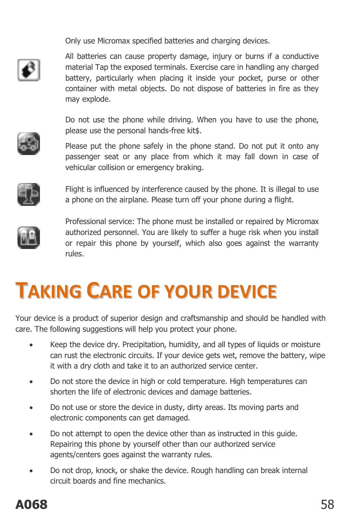Only use Micromax specified batteries and charging devices.



All batteries can cause property damage, injury or burns if a conductive material Tap the exposed terminals. Exercise care in handling any charged battery, particularly when placing it inside your pocket, purse or other container with metal objects. Do not dispose of batteries in fire as they may explode.

Do not use the phone while driving. When you have to use the phone, please use the personal hands-free kit\$.

Please put the phone safely in the phone stand. Do not put it onto any passenger seat or any place from which it may fall down in case of vehicular collision or emergency braking.



Flight is influenced by interference caused by the phone. It is illegal to use a phone on the airplane. Please turn off your phone during a flight.



Professional service: The phone must be installed or repaired by Micromax authorized personnel. You are likely to suffer a huge risk when you install or repair this phone by yourself, which also goes against the warranty rules.

# <span id="page-57-0"></span>**TAKING CARE OF YOUR DEVICE**

Your device is a product of superior design and craftsmanship and should be handled with care. The following suggestions will help you protect your phone.

- Keep the device dry. Precipitation, humidity, and all types of liquids or moisture can rust the electronic circuits. If your device gets wet, remove the battery, wipe it with a dry cloth and take it to an authorized service center.
- Do not store the device in high or cold temperature. High temperatures can shorten the life of electronic devices and damage batteries.
- Do not use or store the device in dusty, dirty areas. Its moving parts and electronic components can get damaged.
- Do not attempt to open the device other than as instructed in this quide. Repairing this phone by yourself other than our authorized service agents/centers goes against the warranty rules.
- Do not drop, knock, or shake the device. Rough handling can break internal circuit boards and fine mechanics.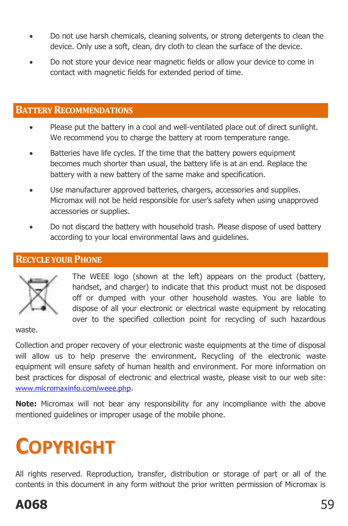- Do not use harsh chemicals, cleaning solvents, or strong detergents to clean the device. Only use a soft, clean, dry cloth to clean the surface of the device.
- Do not store your device near magnetic fields or allow your device to come in contact with magnetic fields for extended period of time.

#### <span id="page-58-0"></span>**BATTERY RECOMMENDATIONS**

- Please put the battery in a cool and well-ventilated place out of direct sunlight. We recommend you to charge the battery at room temperature range.
- Batteries have life cycles. If the time that the battery powers equipment becomes much shorter than usual, the battery life is at an end. Replace the battery with a new battery of the same make and specification.
- Use manufacturer approved batteries, chargers, accessories and supplies. Micromax will not be held responsible for user's safety when using unapproved accessories or supplies.
- Do not discard the battery with household trash. Please dispose of used battery according to your local environmental laws and guidelines.

#### <span id="page-58-1"></span>**RECYCLE YOUR PHONE**



The WEEE logo (shown at the left) appears on the product (battery, handset, and charger) to indicate that this product must not be disposed off or dumped with your other household wastes. You are liable to dispose of all your electronic or electrical waste equipment by relocating over to the specified collection point for recycling of such hazardous

waste.

Collection and proper recovery of your electronic waste equipments at the time of disposal will allow us to help preserve the environment. Recycling of the electronic waste equipment will ensure safety of human health and environment. For more information on best practices for disposal of electronic and electrical waste, please visit to our web site: [www.micromaxinfo.com/weee.php](http://www.micromaxinfo.com/weee.php).

**Note:** Micromax will not bear any responsibility for any incompliance with the above mentioned guidelines or improper usage of the mobile phone.

# <span id="page-58-2"></span>**COPYRIGHT**

All rights reserved. Reproduction, transfer, distribution or storage of part or all of the contents in this document in any form without the prior written permission of Micromax is